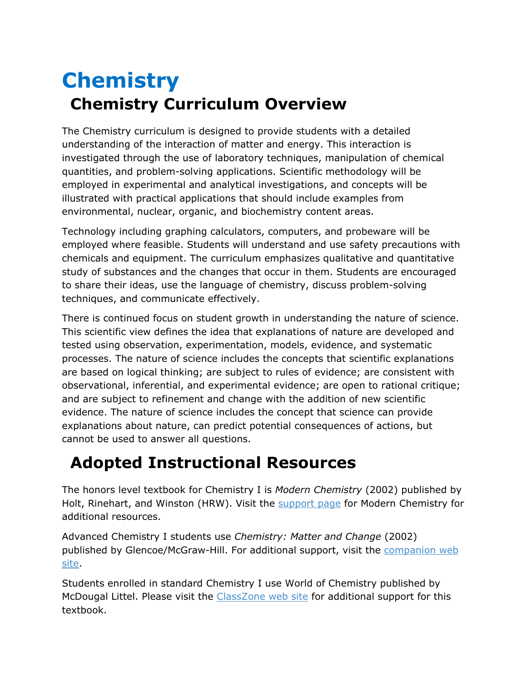## **Chemistry Chemistry Curriculum Overview**

The Chemistry curriculum is designed to provide students with a detailed understanding of the interaction of matter and energy. This interaction is investigated through the use of laboratory techniques, manipulation of chemical quantities, and problem-solving applications. Scientific methodology will be employed in experimental and analytical investigations, and concepts will be illustrated with practical applications that should include examples from environmental, nuclear, organic, and biochemistry content areas.

Technology including graphing calculators, computers, and probeware will be employed where feasible. Students will understand and use safety precautions with chemicals and equipment. The curriculum emphasizes qualitative and quantitative study of substances and the changes that occur in them. Students are encouraged to share their ideas, use the language of chemistry, discuss problem-solving techniques, and communicate effectively.

There is continued focus on student growth in understanding the nature of science. This scientific view defines the idea that explanations of nature are developed and tested using observation, experimentation, models, evidence, and systematic processes. The nature of science includes the concepts that scientific explanations are based on logical thinking; are subject to rules of evidence; are consistent with observational, inferential, and experimental evidence; are open to rational critique; and are subject to refinement and change with the addition of new scientific evidence. The nature of science includes the concept that science can provide explanations about nature, can predict potential consequences of actions, but cannot be used to answer all questions.

## **Adopted Instructional Resources**

The honors level textbook for Chemistry I is *Modern Chemistry* (2002) published by Holt, Rinehart, and Winston (HRW). Visit the [support page](http://www.hrw.com/science/mc/index.htm) for Modern Chemistry for additional resources.

Advanced Chemistry I students use *Chemistry: Matter and Change* (2002) published by Glencoe/McGraw-Hill. For additional support, visit the [companion web](http://www.glencoe.com/sec/science/chemistry/mc/index.html)  [site.](http://www.glencoe.com/sec/science/chemistry/mc/index.html)

Students enrolled in standard Chemistry I use World of Chemistry published by McDougal Littel. Please visit the [ClassZone web site](http://www.classzone.com/books/world_chemistry/index.cfm) for additional support for this textbook.